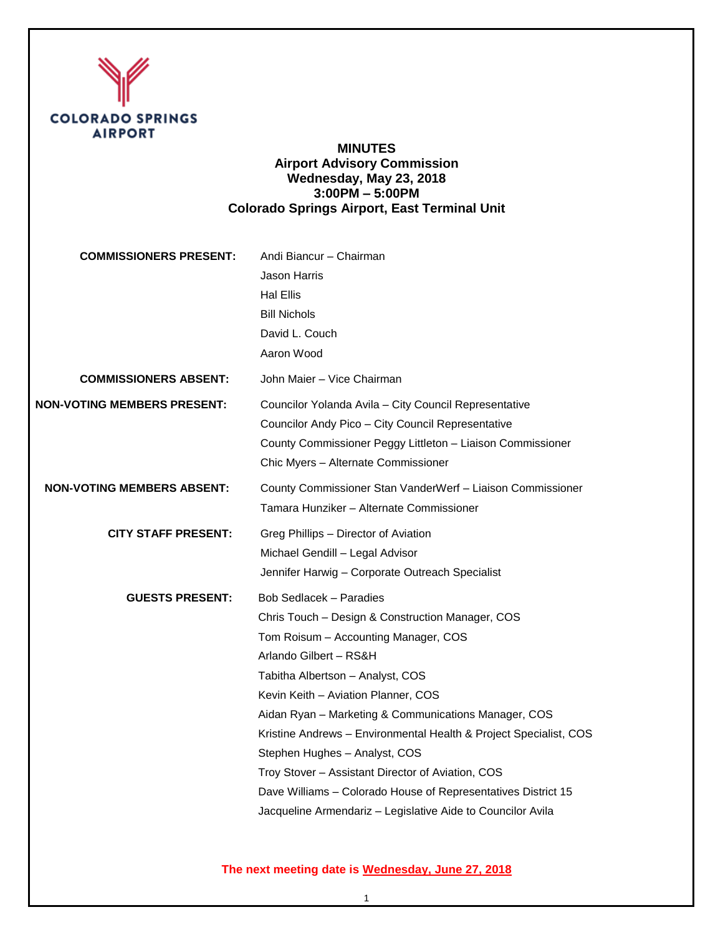

# **MINUTES Airport Advisory Commission Wednesday, May 23, 2018 3:00PM – 5:00PM Colorado Springs Airport, East Terminal Unit**

| <b>COMMISSIONERS PRESENT:</b>      | Andi Biancur - Chairman<br>Jason Harris<br><b>Hal Ellis</b><br><b>Bill Nichols</b><br>David L. Couch<br>Aaron Wood                                                                                                                                                                                                                                                                                                                                                                                                                                                                 |
|------------------------------------|------------------------------------------------------------------------------------------------------------------------------------------------------------------------------------------------------------------------------------------------------------------------------------------------------------------------------------------------------------------------------------------------------------------------------------------------------------------------------------------------------------------------------------------------------------------------------------|
| <b>COMMISSIONERS ABSENT:</b>       | John Maier - Vice Chairman                                                                                                                                                                                                                                                                                                                                                                                                                                                                                                                                                         |
| <b>NON-VOTING MEMBERS PRESENT:</b> | Councilor Yolanda Avila - City Council Representative<br>Councilor Andy Pico - City Council Representative<br>County Commissioner Peggy Littleton - Liaison Commissioner<br>Chic Myers - Alternate Commissioner                                                                                                                                                                                                                                                                                                                                                                    |
| <b>NON-VOTING MEMBERS ABSENT:</b>  | County Commissioner Stan VanderWerf - Liaison Commissioner<br>Tamara Hunziker – Alternate Commissioner                                                                                                                                                                                                                                                                                                                                                                                                                                                                             |
| <b>CITY STAFF PRESENT:</b>         | Greg Phillips - Director of Aviation<br>Michael Gendill - Legal Advisor<br>Jennifer Harwig - Corporate Outreach Specialist                                                                                                                                                                                                                                                                                                                                                                                                                                                         |
| <b>GUESTS PRESENT:</b>             | <b>Bob Sedlacek - Paradies</b><br>Chris Touch - Design & Construction Manager, COS<br>Tom Roisum - Accounting Manager, COS<br>Arlando Gilbert - RS&H<br>Tabitha Albertson - Analyst, COS<br>Kevin Keith - Aviation Planner, COS<br>Aidan Ryan - Marketing & Communications Manager, COS<br>Kristine Andrews - Environmental Health & Project Specialist, COS<br>Stephen Hughes - Analyst, COS<br>Troy Stover - Assistant Director of Aviation, COS<br>Dave Williams - Colorado House of Representatives District 15<br>Jacqueline Armendariz - Legislative Aide to Councilor Avila |

# **The next meeting date is Wednesday, June 27, 2018**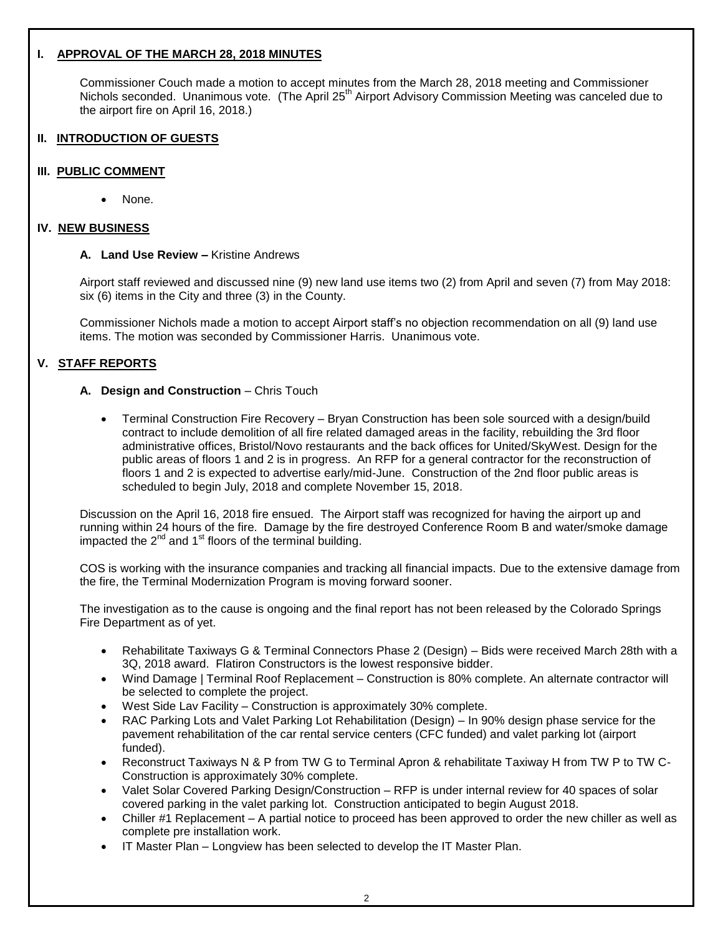## **I. APPROVAL OF THE MARCH 28, 2018 MINUTES**

Commissioner Couch made a motion to accept minutes from the March 28, 2018 meeting and Commissioner Nichols seconded. Unanimous vote. (The April 25<sup>th</sup> Airport Advisory Commission Meeting was canceled due to the airport fire on April 16, 2018.)

#### **II. INTRODUCTION OF GUESTS**

#### **III. PUBLIC COMMENT**

I

None.

#### **IV. NEW BUSINESS**

#### **A. Land Use Review –** Kristine Andrews

Airport staff reviewed and discussed nine (9) new land use items two (2) from April and seven (7) from May 2018: six (6) items in the City and three (3) in the County.

Commissioner Nichols made a motion to accept Airport staff's no objection recommendation on all (9) land use items. The motion was seconded by Commissioner Harris. Unanimous vote.

## **V. STAFF REPORTS**

#### **A. Design and Construction** – Chris Touch

 Terminal Construction Fire Recovery – Bryan Construction has been sole sourced with a design/build contract to include demolition of all fire related damaged areas in the facility, rebuilding the 3rd floor administrative offices, Bristol/Novo restaurants and the back offices for United/SkyWest. Design for the public areas of floors 1 and 2 is in progress. An RFP for a general contractor for the reconstruction of floors 1 and 2 is expected to advertise early/mid-June. Construction of the 2nd floor public areas is scheduled to begin July, 2018 and complete November 15, 2018.

Discussion on the April 16, 2018 fire ensued. The Airport staff was recognized for having the airport up and running within 24 hours of the fire. Damage by the fire destroyed Conference Room B and water/smoke damage impacted the  $2<sup>nd</sup>$  and 1<sup>st</sup> floors of the terminal building.

COS is working with the insurance companies and tracking all financial impacts. Due to the extensive damage from the fire, the Terminal Modernization Program is moving forward sooner.

The investigation as to the cause is ongoing and the final report has not been released by the Colorado Springs Fire Department as of yet.

- Rehabilitate Taxiways G & Terminal Connectors Phase 2 (Design) Bids were received March 28th with a 3Q, 2018 award. Flatiron Constructors is the lowest responsive bidder.
- Wind Damage | Terminal Roof Replacement Construction is 80% complete. An alternate contractor will be selected to complete the project.
- West Side Lav Facility Construction is approximately 30% complete.
- RAC Parking Lots and Valet Parking Lot Rehabilitation (Design) In 90% design phase service for the pavement rehabilitation of the car rental service centers (CFC funded) and valet parking lot (airport funded).
- Reconstruct Taxiways N & P from TW G to Terminal Apron & rehabilitate Taxiway H from TW P to TW C-Construction is approximately 30% complete.
- Valet Solar Covered Parking Design/Construction RFP is under internal review for 40 spaces of solar covered parking in the valet parking lot. Construction anticipated to begin August 2018.
- Chiller #1 Replacement A partial notice to proceed has been approved to order the new chiller as well as complete pre installation work.
- IT Master Plan Longview has been selected to develop the IT Master Plan.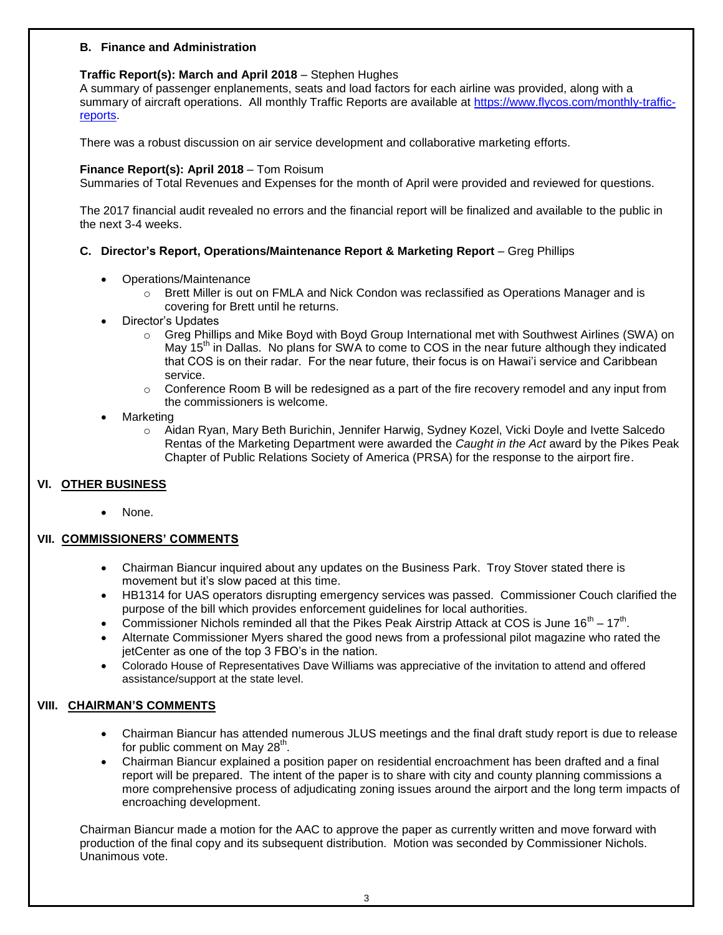#### **B. Finance and Administration**

#### **Traffic Report(s): March and April 2018** – Stephen Hughes

A summary of passenger enplanements, seats and load factors for each airline was provided, along with a summary of aircraft operations. All monthly Traffic Reports are available at [https://www.flycos.com/monthly-traffic](https://www.flycos.com/monthly-traffic-reports)[reports.](https://www.flycos.com/monthly-traffic-reports)

There was a robust discussion on air service development and collaborative marketing efforts.

#### **Finance Report(s): April 2018** – Tom Roisum

Summaries of Total Revenues and Expenses for the month of April were provided and reviewed for questions.

The 2017 financial audit revealed no errors and the financial report will be finalized and available to the public in the next 3-4 weeks.

## **C. Director's Report, Operations/Maintenance Report & Marketing Report** – Greg Phillips

- Operations/Maintenance
	- $\circ$  Brett Miller is out on FMLA and Nick Condon was reclassified as Operations Manager and is covering for Brett until he returns.
- Director's Updates
	- o Greg Phillips and Mike Boyd with Boyd Group International met with Southwest Airlines (SWA) on May 15<sup>th</sup> in Dallas. No plans for SWA to come to COS in the near future although they indicated that COS is on their radar. For the near future, their focus is on Hawai'i service and Caribbean service.
	- $\circ$  Conference Room B will be redesigned as a part of the fire recovery remodel and any input from the commissioners is welcome.
- Marketing
	- o Aidan Ryan, Mary Beth Burichin, Jennifer Harwig, Sydney Kozel, Vicki Doyle and Ivette Salcedo Rentas of the Marketing Department were awarded the *Caught in the Act* award by the Pikes Peak Chapter of Public Relations Society of America (PRSA) for the response to the airport fire.

## **VI. OTHER BUSINESS**

None.

## **VII. COMMISSIONERS' COMMENTS**

- Chairman Biancur inquired about any updates on the Business Park. Troy Stover stated there is movement but it's slow paced at this time.
- HB1314 for UAS operators disrupting emergency services was passed. Commissioner Couch clarified the purpose of the bill which provides enforcement guidelines for local authorities.
- Commissioner Nichols reminded all that the Pikes Peak Airstrip Attack at COS is June  $16^{th}$   $17^{th}$ .
- Alternate Commissioner Myers shared the good news from a professional pilot magazine who rated the jetCenter as one of the top 3 FBO's in the nation.
- Colorado House of Representatives Dave Williams was appreciative of the invitation to attend and offered assistance/support at the state level.

## **VIII. CHAIRMAN'S COMMENTS**

- Chairman Biancur has attended numerous JLUS meetings and the final draft study report is due to release for public comment on May 28<sup>th</sup>.
- Chairman Biancur explained a position paper on residential encroachment has been drafted and a final report will be prepared. The intent of the paper is to share with city and county planning commissions a more comprehensive process of adjudicating zoning issues around the airport and the long term impacts of encroaching development.

Chairman Biancur made a motion for the AAC to approve the paper as currently written and move forward with production of the final copy and its subsequent distribution. Motion was seconded by Commissioner Nichols. Unanimous vote.